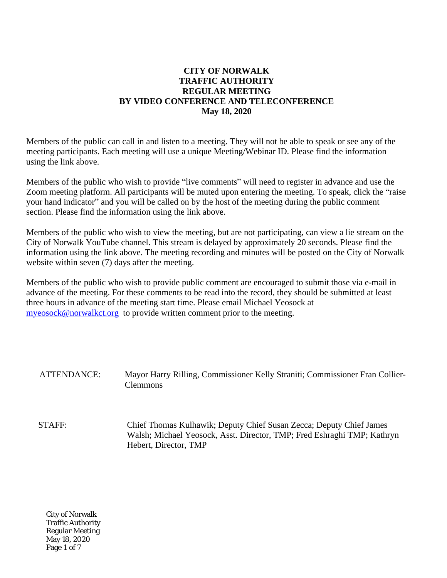# **CITY OF NORWALK TRAFFIC AUTHORITY REGULAR MEETING BY VIDEO CONFERENCE AND TELECONFERENCE May 18, 2020**

Members of the public can call in and listen to a meeting. They will not be able to speak or see any of the meeting participants. Each meeting will use a unique Meeting/Webinar ID. Please find the information using the link above.

Members of the public who wish to provide "live comments" will need to register in advance and use the Zoom meeting platform. All participants will be muted upon entering the meeting. To speak, click the "raise your hand indicator" and you will be called on by the host of the meeting during the public comment section. Please find the information using the link above.

Members of the public who wish to view the meeting, but are not participating, can view a lie stream on the City of Norwalk YouTube channel. This stream is delayed by approximately 20 seconds. Please find the information using the link above. The meeting recording and minutes will be posted on the City of Norwalk website within seven (7) days after the meeting.

Members of the public who wish to provide public comment are encouraged to submit those via e-mail in advance of the meeting. For these comments to be read into the record, they should be submitted at least three hours in advance of the meeting start time. Please email Michael Yeosock at [myeosock@norwalkct.org](mailto:myeosock@norwalkct.org) to provide written comment prior to the meeting.

#### ATTENDANCE: Mayor Harry Rilling, Commissioner Kelly Straniti; Commissioner Fran Collier-Clemmons

STAFF: Chief Thomas Kulhawik; Deputy Chief Susan Zecca; Deputy Chief James Walsh; Michael Yeosock, Asst. Director, TMP; Fred Eshraghi TMP; Kathryn Hebert, Director, TMP

City of Norwalk Traffic Authority Regular Meeting May 18, 2020 Page 1 of 7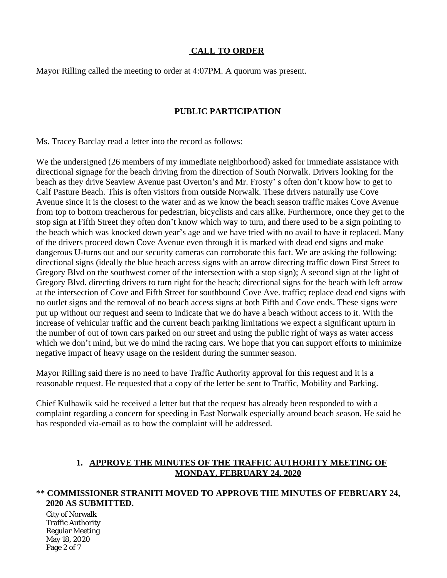# **CALL TO ORDER**

Mayor Rilling called the meeting to order at 4:07PM. A quorum was present.

### **PUBLIC PARTICIPATION**

Ms. Tracey Barclay read a letter into the record as follows:

We the undersigned (26 members of my immediate neighborhood) asked for immediate assistance with directional signage for the beach driving from the direction of South Norwalk. Drivers looking for the beach as they drive Seaview Avenue past Overton's and Mr. Frosty' s often don't know how to get to Calf Pasture Beach. This is often visitors from outside Norwalk. These drivers naturally use Cove Avenue since it is the closest to the water and as we know the beach season traffic makes Cove Avenue from top to bottom treacherous for pedestrian, bicyclists and cars alike. Furthermore, once they get to the stop sign at Fifth Street they often don't know which way to turn, and there used to be a sign pointing to the beach which was knocked down year's age and we have tried with no avail to have it replaced. Many of the drivers proceed down Cove Avenue even through it is marked with dead end signs and make dangerous U-turns out and our security cameras can corroborate this fact. We are asking the following: directional signs (ideally the blue beach access signs with an arrow directing traffic down First Street to Gregory Blvd on the southwest corner of the intersection with a stop sign); A second sign at the light of Gregory Blvd. directing drivers to turn right for the beach; directional signs for the beach with left arrow at the intersection of Cove and Fifth Street for southbound Cove Ave. traffic; replace dead end signs with no outlet signs and the removal of no beach access signs at both Fifth and Cove ends. These signs were put up without our request and seem to indicate that we do have a beach without access to it. With the increase of vehicular traffic and the current beach parking limitations we expect a significant upturn in the number of out of town cars parked on our street and using the public right of ways as water access which we don't mind, but we do mind the racing cars. We hope that you can support efforts to minimize negative impact of heavy usage on the resident during the summer season.

Mayor Rilling said there is no need to have Traffic Authority approval for this request and it is a reasonable request. He requested that a copy of the letter be sent to Traffic, Mobility and Parking.

Chief Kulhawik said he received a letter but that the request has already been responded to with a complaint regarding a concern for speeding in East Norwalk especially around beach season. He said he has responded via-email as to how the complaint will be addressed.

# **1. APPROVE THE MINUTES OF THE TRAFFIC AUTHORITY MEETING OF MONDAY, FEBRUARY 24, 2020**

# \*\* **COMMISSIONER STRANITI MOVED TO APPROVE THE MINUTES OF FEBRUARY 24, 2020 AS SUBMITTED.**

City of Norwalk Traffic Authority Regular Meeting May 18, 2020 Page 2 of 7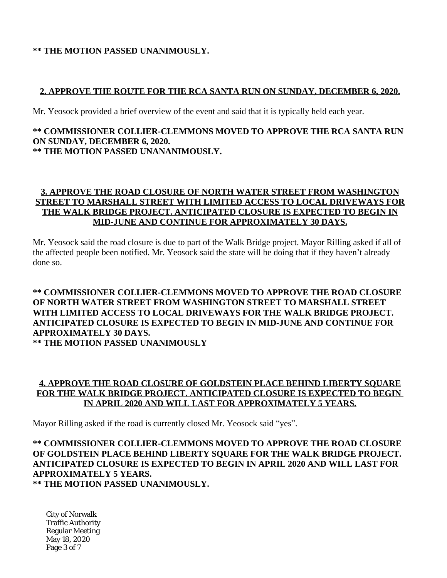### **\*\* THE MOTION PASSED UNANIMOUSLY.**

### **2. APPROVE THE ROUTE FOR THE RCA SANTA RUN ON SUNDAY, DECEMBER 6, 2020.**

Mr. Yeosock provided a brief overview of the event and said that it is typically held each year.

#### **\*\* COMMISSIONER COLLIER-CLEMMONS MOVED TO APPROVE THE RCA SANTA RUN ON SUNDAY, DECEMBER 6, 2020. \*\* THE MOTION PASSED UNANANIMOUSLY.**

### **3. APPROVE THE ROAD CLOSURE OF NORTH WATER STREET FROM WASHINGTON STREET TO MARSHALL STREET WITH LIMITED ACCESS TO LOCAL DRIVEWAYS FOR THE WALK BRIDGE PROJECT. ANTICIPATED CLOSURE IS EXPECTED TO BEGIN IN MID-JUNE AND CONTINUE FOR APPROXIMATELY 30 DAYS.**

Mr. Yeosock said the road closure is due to part of the Walk Bridge project. Mayor Rilling asked if all of the affected people been notified. Mr. Yeosock said the state will be doing that if they haven't already done so.

#### **\*\* COMMISSIONER COLLIER-CLEMMONS MOVED TO APPROVE THE ROAD CLOSURE OF NORTH WATER STREET FROM WASHINGTON STREET TO MARSHALL STREET WITH LIMITED ACCESS TO LOCAL DRIVEWAYS FOR THE WALK BRIDGE PROJECT. ANTICIPATED CLOSURE IS EXPECTED TO BEGIN IN MID-JUNE AND CONTINUE FOR APPROXIMATELY 30 DAYS. \*\* THE MOTION PASSED UNANIMOUSLY**

# **4. APPROVE THE ROAD CLOSURE OF GOLDSTEIN PLACE BEHIND LIBERTY SQUARE FOR THE WALK BRIDGE PROJECT. ANTICIPATED CLOSURE IS EXPECTED TO BEGIN IN APRIL 2020 AND WILL LAST FOR APPROXIMATELY 5 YEARS.**

Mayor Rilling asked if the road is currently closed Mr. Yeosock said "yes".

### **\*\* COMMISSIONER COLLIER-CLEMMONS MOVED TO APPROVE THE ROAD CLOSURE OF GOLDSTEIN PLACE BEHIND LIBERTY SQUARE FOR THE WALK BRIDGE PROJECT. ANTICIPATED CLOSURE IS EXPECTED TO BEGIN IN APRIL 2020 AND WILL LAST FOR APPROXIMATELY 5 YEARS. \*\* THE MOTION PASSED UNANIMOUSLY.**

City of Norwalk Traffic Authority Regular Meeting May 18, 2020 Page 3 of 7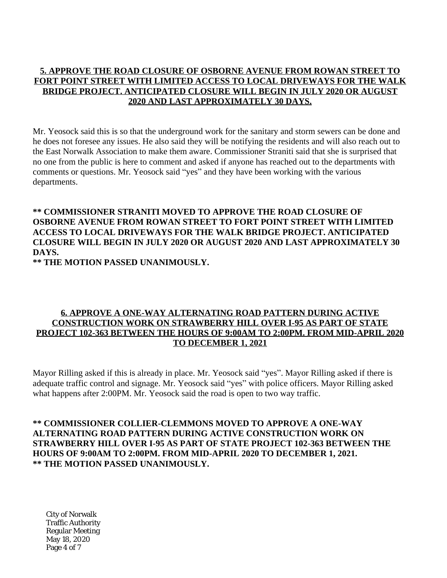# **5. APPROVE THE ROAD CLOSURE OF OSBORNE AVENUE FROM ROWAN STREET TO FORT POINT STREET WITH LIMITED ACCESS TO LOCAL DRIVEWAYS FOR THE WALK BRIDGE PROJECT. ANTICIPATED CLOSURE WILL BEGIN IN JULY 2020 OR AUGUST 2020 AND LAST APPROXIMATELY 30 DAYS.**

Mr. Yeosock said this is so that the underground work for the sanitary and storm sewers can be done and he does not foresee any issues. He also said they will be notifying the residents and will also reach out to the East Norwalk Association to make them aware. Commissioner Straniti said that she is surprised that no one from the public is here to comment and asked if anyone has reached out to the departments with comments or questions. Mr. Yeosock said "yes" and they have been working with the various departments.

# **\*\* COMMISSIONER STRANITI MOVED TO APPROVE THE ROAD CLOSURE OF OSBORNE AVENUE FROM ROWAN STREET TO FORT POINT STREET WITH LIMITED ACCESS TO LOCAL DRIVEWAYS FOR THE WALK BRIDGE PROJECT. ANTICIPATED CLOSURE WILL BEGIN IN JULY 2020 OR AUGUST 2020 AND LAST APPROXIMATELY 30 DAYS.**

**\*\* THE MOTION PASSED UNANIMOUSLY.**

### **6. APPROVE A ONE-WAY ALTERNATING ROAD PATTERN DURING ACTIVE CONSTRUCTION WORK ON STRAWBERRY HILL OVER I-95 AS PART OF STATE PROJECT 102-363 BETWEEN THE HOURS OF 9:00AM TO 2:00PM. FROM MID-APRIL 2020 TO DECEMBER 1, 2021**

Mayor Rilling asked if this is already in place. Mr. Yeosock said "yes". Mayor Rilling asked if there is adequate traffic control and signage. Mr. Yeosock said "yes" with police officers. Mayor Rilling asked what happens after 2:00PM. Mr. Yeosock said the road is open to two way traffic.

**\*\* COMMISSIONER COLLIER-CLEMMONS MOVED TO APPROVE A ONE-WAY ALTERNATING ROAD PATTERN DURING ACTIVE CONSTRUCTION WORK ON STRAWBERRY HILL OVER I-95 AS PART OF STATE PROJECT 102-363 BETWEEN THE HOURS OF 9:00AM TO 2:00PM. FROM MID-APRIL 2020 TO DECEMBER 1, 2021. \*\* THE MOTION PASSED UNANIMOUSLY.**

City of Norwalk Traffic Authority Regular Meeting May 18, 2020 Page 4 of 7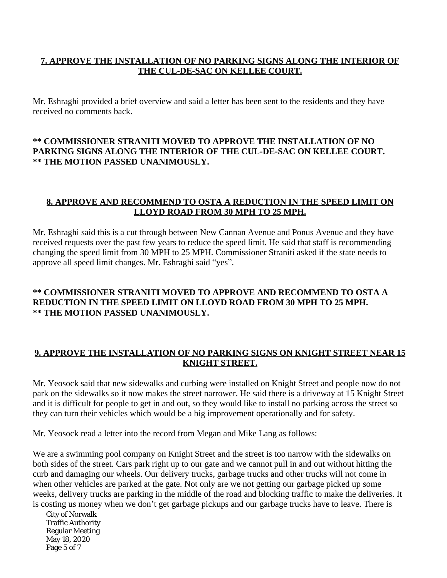# **7. APPROVE THE INSTALLATION OF NO PARKING SIGNS ALONG THE INTERIOR OF THE CUL-DE-SAC ON KELLEE COURT.**

Mr. Eshraghi provided a brief overview and said a letter has been sent to the residents and they have received no comments back.

# **\*\* COMMISSIONER STRANITI MOVED TO APPROVE THE INSTALLATION OF NO PARKING SIGNS ALONG THE INTERIOR OF THE CUL-DE-SAC ON KELLEE COURT. \*\* THE MOTION PASSED UNANIMOUSLY.**

### **8. APPROVE AND RECOMMEND TO OSTA A REDUCTION IN THE SPEED LIMIT ON LLOYD ROAD FROM 30 MPH TO 25 MPH.**

Mr. Eshraghi said this is a cut through between New Cannan Avenue and Ponus Avenue and they have received requests over the past few years to reduce the speed limit. He said that staff is recommending changing the speed limit from 30 MPH to 25 MPH. Commissioner Straniti asked if the state needs to approve all speed limit changes. Mr. Eshraghi said "yes".

# **\*\* COMMISSIONER STRANITI MOVED TO APPROVE AND RECOMMEND TO OSTA A REDUCTION IN THE SPEED LIMIT ON LLOYD ROAD FROM 30 MPH TO 25 MPH. \*\* THE MOTION PASSED UNANIMOUSLY.**

# **9. APPROVE THE INSTALLATION OF NO PARKING SIGNS ON KNIGHT STREET NEAR 15 KNIGHT STREET.**

Mr. Yeosock said that new sidewalks and curbing were installed on Knight Street and people now do not park on the sidewalks so it now makes the street narrower. He said there is a driveway at 15 Knight Street and it is difficult for people to get in and out, so they would like to install no parking across the street so they can turn their vehicles which would be a big improvement operationally and for safety.

Mr. Yeosock read a letter into the record from Megan and Mike Lang as follows:

We are a swimming pool company on Knight Street and the street is too narrow with the sidewalks on both sides of the street. Cars park right up to our gate and we cannot pull in and out without hitting the curb and damaging our wheels. Our delivery trucks, garbage trucks and other trucks will not come in when other vehicles are parked at the gate. Not only are we not getting our garbage picked up some weeks, delivery trucks are parking in the middle of the road and blocking traffic to make the deliveries. It is costing us money when we don't get garbage pickups and our garbage trucks have to leave. There is

City of Norwalk Traffic Authority Regular Meeting May 18, 2020 Page 5 of 7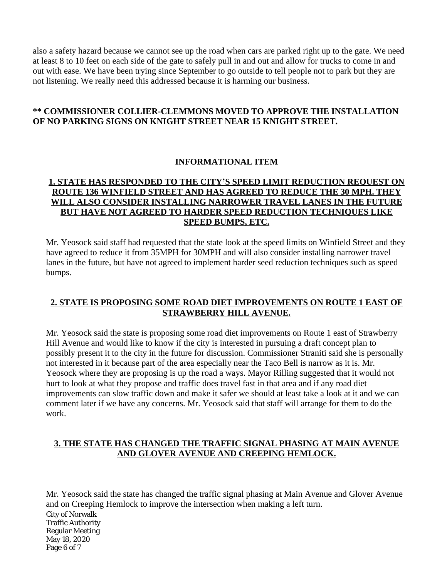also a safety hazard because we cannot see up the road when cars are parked right up to the gate. We need at least 8 to 10 feet on each side of the gate to safely pull in and out and allow for trucks to come in and out with ease. We have been trying since September to go outside to tell people not to park but they are not listening. We really need this addressed because it is harming our business.

# **\*\* COMMISSIONER COLLIER-CLEMMONS MOVED TO APPROVE THE INSTALLATION OF NO PARKING SIGNS ON KNIGHT STREET NEAR 15 KNIGHT STREET.**

# **INFORMATIONAL ITEM**

# **1. STATE HAS RESPONDED TO THE CITY'S SPEED LIMIT REDUCTION REQUEST ON ROUTE 136 WINFIELD STREET AND HAS AGREED TO REDUCE THE 30 MPH. THEY WILL ALSO CONSIDER INSTALLING NARROWER TRAVEL LANES IN THE FUTURE BUT HAVE NOT AGREED TO HARDER SPEED REDUCTION TECHNIQUES LIKE SPEED BUMPS, ETC.**

Mr. Yeosock said staff had requested that the state look at the speed limits on Winfield Street and they have agreed to reduce it from 35MPH for 30MPH and will also consider installing narrower travel lanes in the future, but have not agreed to implement harder seed reduction techniques such as speed bumps.

# **2. STATE IS PROPOSING SOME ROAD DIET IMPROVEMENTS ON ROUTE 1 EAST OF STRAWBERRY HILL AVENUE.**

Mr. Yeosock said the state is proposing some road diet improvements on Route 1 east of Strawberry Hill Avenue and would like to know if the city is interested in pursuing a draft concept plan to possibly present it to the city in the future for discussion. Commissioner Straniti said she is personally not interested in it because part of the area especially near the Taco Bell is narrow as it is. Mr. Yeosock where they are proposing is up the road a ways. Mayor Rilling suggested that it would not hurt to look at what they propose and traffic does travel fast in that area and if any road diet improvements can slow traffic down and make it safer we should at least take a look at it and we can comment later if we have any concerns. Mr. Yeosock said that staff will arrange for them to do the work.

#### **3. THE STATE HAS CHANGED THE TRAFFIC SIGNAL PHASING AT MAIN AVENUE AND GLOVER AVENUE AND CREEPING HEMLOCK.**

City of Norwalk Traffic Authority Regular Meeting May 18, 2020 Page 6 of 7 Mr. Yeosock said the state has changed the traffic signal phasing at Main Avenue and Glover Avenue and on Creeping Hemlock to improve the intersection when making a left turn.